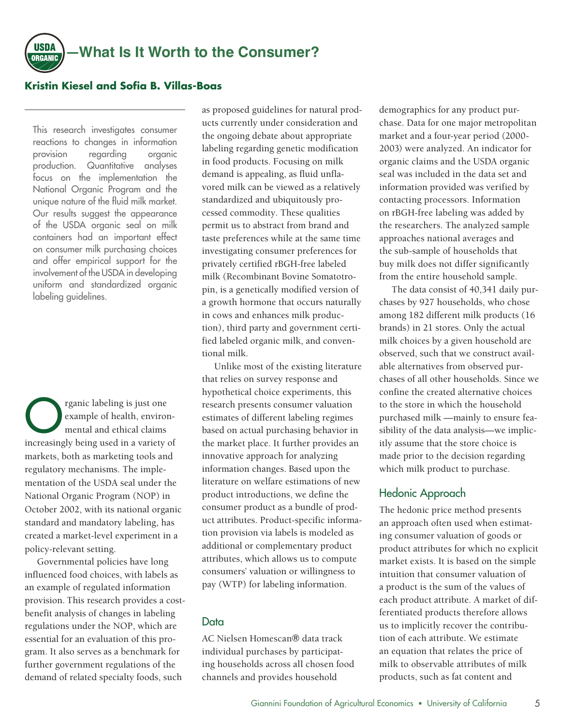

### **Kristin Kiesel and Sofia B. Villas-Boas**

This research investigates consumer reactions to changes in information provision regarding organic production. Quantitative analyses focus on the implementation the National Organic Program and the unique nature of the fluid milk market. Our results suggest the appearance of the USDA organic seal on milk containers had an important effect on consumer milk purchasing choices and offer empirical support for the involvement of the USDA in developing uniform and standardized organic labeling guidelines.

The regaric labeling is just one<br>example of health, enviror<br>increasingly being used in a unity example of health, environmental and ethical claims increasingly being used in a variety of markets, both as marketing tools and regulatory mechanisms. The implementation of the USDA seal under the National Organic Program (NOP) in October 2002, with its national organic standard and mandatory labeling, has created a market-level experiment in a policy-relevant setting.

Governmental policies have long influenced food choices, with labels as an example of regulated information provision. This research provides a costbenefit analysis of changes in labeling regulations under the NOP, which are essential for an evaluation of this program. It also serves as a benchmark for further government regulations of the demand of related specialty foods, such

as proposed guidelines for natural products currently under consideration and the ongoing debate about appropriate labeling regarding genetic modification in food products. Focusing on milk demand is appealing, as fluid unflavored milk can be viewed as a relatively standardized and ubiquitously processed commodity. These qualities permit us to abstract from brand and taste preferences while at the same time investigating consumer preferences for privately certified rBGH-free labeled milk (Recombinant Bovine Somatotropin, is a genetically modified version of a growth hormone that occurs naturally in cows and enhances milk production), third party and government certified labeled organic milk, and conventional milk.

Unlike most of the existing literature that relies on survey response and hypothetical choice experiments, this research presents consumer valuation estimates of different labeling regimes based on actual purchasing behavior in the market place. It further provides an innovative approach for analyzing information changes. Based upon the literature on welfare estimations of new product introductions, we define the consumer product as a bundle of product attributes. Product-specific information provision via labels is modeled as additional or complementary product attributes, which allows us to compute consumers' valuation or willingness to pay (WTP) for labeling information.

### **Data**

AC Nielsen Homescan® data track individual purchases by participating households across all chosen food channels and provides household

demographics for any product purchase. Data for one major metropolitan market and a four-year period (2000- 2003) were analyzed. An indicator for organic claims and the USDA organic seal was included in the data set and information provided was verified by contacting processors. Information on rBGH-free labeling was added by the researchers. The analyzed sample approaches national averages and the sub-sample of households that buy milk does not differ significantly from the entire household sample.

The data consist of 40,341 daily purchases by 927 households, who chose among 182 different milk products (16 brands) in 21 stores. Only the actual milk choices by a given household are observed, such that we construct available alternatives from observed purchases of all other households. Since we confine the created alternative choices to the store in which the household purchased milk —mainly to ensure feasibility of the data analysis—we implicitly assume that the store choice is made prior to the decision regarding which milk product to purchase.

## Hedonic Approach

The hedonic price method presents an approach often used when estimating consumer valuation of goods or product attributes for which no explicit market exists. It is based on the simple intuition that consumer valuation of a product is the sum of the values of each product attribute. A market of differentiated products therefore allows us to implicitly recover the contribution of each attribute. We estimate an equation that relates the price of milk to observable attributes of milk products, such as fat content and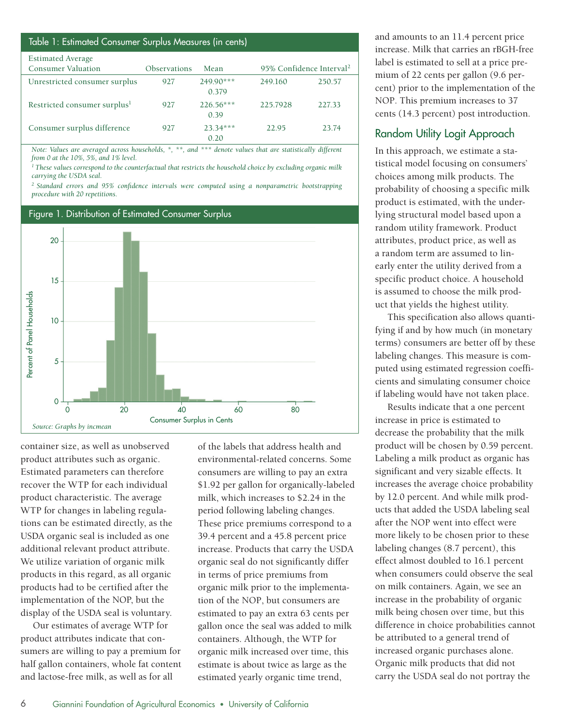### Table 1: Estimated Consumer Surplus Measures (in cents)

| <b>Estimated Average</b>                 |                     |                      |                                      |        |
|------------------------------------------|---------------------|----------------------|--------------------------------------|--------|
| <b>Consumer Valuation</b>                | <b>Observations</b> | Mean                 | 95% Confidence Interval <sup>2</sup> |        |
| Unrestricted consumer surplus            | 927                 | $249.90***$<br>0 379 | 249.160                              | 250.57 |
| Restricted consumer surplus <sup>1</sup> | 927                 | $226.56***$<br>0.39  | 225.7928                             | 227.33 |
| Consumer surplus difference              | 927                 | $23.34***$<br>0.20   | 22.95                                | 23.74  |

*Note: Values are averaged across households, \*, \*\*, and \*\*\* denote values that are statistically different from 0 at the 10%, 5%, and 1% level.*

*1 These values correspond to the counterfactual that restricts the household choice by excluding organic milk carrying the USDA seal.*

*2 Standard errors and 95% confidence intervals were computed using a nonparametric bootstrapping procedure with 20 repetitions.*

# Figure 1. Distribution of Estimated Consumer Surplus 20 15 Percent of Panel Households Percent of Panel Households10 5 0 0 20 40 60 80 *Source: Graphs by incmean* Consumer Surplus in Cents

container size, as well as unobserved product attributes such as organic. Estimated parameters can therefore recover the WTP for each individual product characteristic. The average WTP for changes in labeling regulations can be estimated directly, as the USDA organic seal is included as one additional relevant product attribute. We utilize variation of organic milk products in this regard, as all organic products had to be certified after the implementation of the NOP, but the display of the USDA seal is voluntary.

Our estimates of average WTP for product attributes indicate that consumers are willing to pay a premium for half gallon containers, whole fat content and lactose-free milk, as well as for all

of the labels that address health and environmental-related concerns. Some consumers are willing to pay an extra \$1.92 per gallon for organically-labeled milk, which increases to \$2.24 in the period following labeling changes. These price premiums correspond to a 39.4 percent and a 45.8 percent price increase. Products that carry the USDA organic seal do not significantly differ in terms of price premiums from organic milk prior to the implementation of the NOP, but consumers are estimated to pay an extra 63 cents per gallon once the seal was added to milk containers. Although, the WTP for organic milk increased over time, this estimate is about twice as large as the estimated yearly organic time trend,

and amounts to an 11.4 percent price increase. Milk that carries an rBGH-free label is estimated to sell at a price premium of 22 cents per gallon (9.6 percent) prior to the implementation of the NOP. This premium increases to 37 cents (14.3 percent) post introduction.

## Random Utility Logit Approach

In this approach, we estimate a statistical model focusing on consumers' choices among milk products. The probability of choosing a specific milk product is estimated, with the underlying structural model based upon a random utility framework. Product attributes, product price, as well as a random term are assumed to linearly enter the utility derived from a specific product choice. A household is assumed to choose the milk product that yields the highest utility.

This specification also allows quantifying if and by how much (in monetary terms) consumers are better off by these labeling changes. This measure is computed using estimated regression coefficients and simulating consumer choice if labeling would have not taken place.

Results indicate that a one percent increase in price is estimated to decrease the probability that the milk product will be chosen by 0.59 percent. Labeling a milk product as organic has significant and very sizable effects. It increases the average choice probability by 12.0 percent. And while milk products that added the USDA labeling seal after the NOP went into effect were more likely to be chosen prior to these labeling changes (8.7 percent), this effect almost doubled to 16.1 percent when consumers could observe the seal on milk containers. Again, we see an increase in the probability of organic milk being chosen over time, but this difference in choice probabilities cannot be attributed to a general trend of increased organic purchases alone. Organic milk products that did not carry the USDA seal do not portray the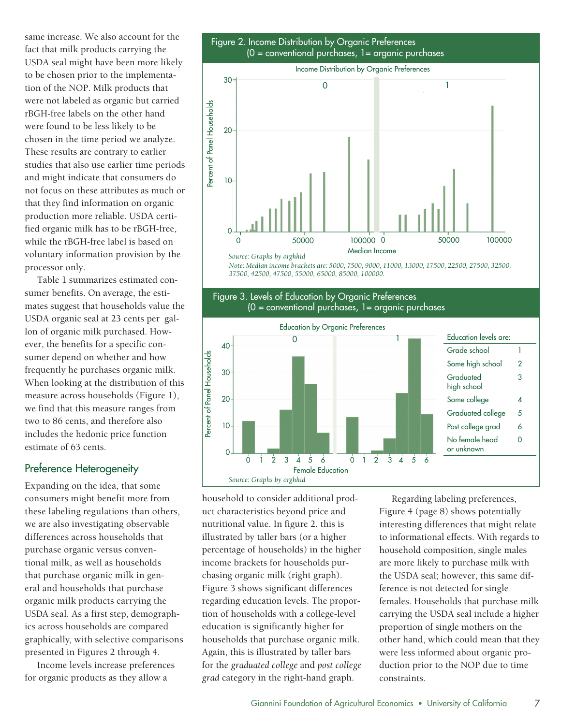same increase. We also account for the fact that milk products carrying the USDA seal might have been more likely to be chosen prior to the implementation of the NOP. Milk products that were not labeled as organic but carried rBGH-free labels on the other hand were found to be less likely to be chosen in the time period we analyze. These results are contrary to earlier studies that also use earlier time periods and might indicate that consumers do not focus on these attributes as much or that they find information on organic production more reliable. USDA certified organic milk has to be rBGH-free, while the rBGH-free label is based on voluntary information provision by the processor only.

Table 1 summarizes estimated consumer benefits. On average, the estimates suggest that households value the USDA organic seal at 23 cents per gallon of organic milk purchased. However, the benefits for a specific consumer depend on whether and how frequently he purchases organic milk. When looking at the distribution of this measure across households (Figure 1), we find that this measure ranges from two to 86 cents, and therefore also includes the hedonic price function estimate of 63 cents.

## Preference Heterogeneity

Expanding on the idea, that some consumers might benefit more from these labeling regulations than others, we are also investigating observable differences across households that purchase organic versus conventional milk, as well as households that purchase organic milk in general and households that purchase organic milk products carrying the USDA seal. As a first step, demographics across households are compared graphically, with selective comparisons presented in Figures 2 through 4.

Income levels increase preferences for organic products as they allow a



household to consider additional product characteristics beyond price and nutritional value. In figure 2, this is illustrated by taller bars (or a higher percentage of households) in the higher income brackets for households purchasing organic milk (right graph). Figure 3 shows significant differences regarding education levels. The proportion of households with a college-level education is significantly higher for households that purchase organic milk. Again, this is illustrated by taller bars for the *graduated college* and *post college grad* category in the right-hand graph.

*Source: Graphs by orghhid*

10

 $\Omega$ 

 $0$  1 2 3 4 5 6  $0$  1 2 3 4 Female Education

> Regarding labeling preferences, Figure 4 (page 8) shows potentially interesting differences that might relate to informational effects. With regards to household composition, single males are more likely to purchase milk with the USDA seal; however, this same difference is not detected for single females. Households that purchase milk carrying the USDA seal include a higher proportion of single mothers on the other hand, which could mean that they were less informed about organic production prior to the NOP due to time constraints.

Graduated college 5 Post college grad 6 No female head or unknown

0

 $\overrightarrow{5}$  $\ddot{6}$